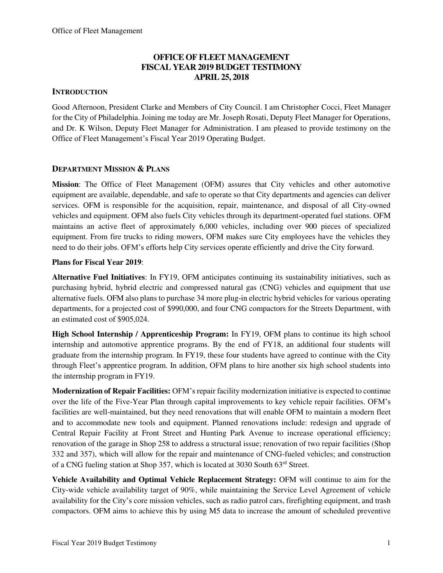## **OFFICE OF FLEET MANAGEMENT FISCAL YEAR 2019 BUDGET TESTIMONY APRIL 25, 2018**

## **INTRODUCTION**

Good Afternoon, President Clarke and Members of City Council. I am Christopher Cocci, Fleet Manager for the City of Philadelphia. Joining me today are Mr. Joseph Rosati, Deputy Fleet Manager for Operations, and Dr. K Wilson, Deputy Fleet Manager for Administration. I am pleased to provide testimony on the Office of Fleet Management's Fiscal Year 2019 Operating Budget.

## **DEPARTMENT MISSION & PLANS**

**Mission**: The Office of Fleet Management (OFM) assures that City vehicles and other automotive equipment are available, dependable, and safe to operate so that City departments and agencies can deliver services. OFM is responsible for the acquisition, repair, maintenance, and disposal of all City-owned vehicles and equipment. OFM also fuels City vehicles through its department-operated fuel stations. OFM maintains an active fleet of approximately 6,000 vehicles, including over 900 pieces of specialized equipment. From fire trucks to riding mowers, OFM makes sure City employees have the vehicles they need to do their jobs. OFM's efforts help City services operate efficiently and drive the City forward.

## **Plans for Fiscal Year 2019**:

**Alternative Fuel Initiatives**: In FY19, OFM anticipates continuing its sustainability initiatives, such as purchasing hybrid, hybrid electric and compressed natural gas (CNG) vehicles and equipment that use alternative fuels. OFM also plans to purchase 34 more plug-in electric hybrid vehicles for various operating departments, for a projected cost of \$990,000, and four CNG compactors for the Streets Department, with an estimated cost of \$905,024.

**High School Internship / Apprenticeship Program:** In FY19, OFM plans to continue its high school internship and automotive apprentice programs. By the end of FY18, an additional four students will graduate from the internship program. In FY19, these four students have agreed to continue with the City through Fleet's apprentice program. In addition, OFM plans to hire another six high school students into the internship program in FY19.

**Modernization of Repair Facilities:** OFM's repair facility modernization initiative is expected to continue over the life of the Five-Year Plan through capital improvements to key vehicle repair facilities. OFM's facilities are well-maintained, but they need renovations that will enable OFM to maintain a modern fleet and to accommodate new tools and equipment. Planned renovations include: redesign and upgrade of Central Repair Facility at Front Street and Hunting Park Avenue to increase operational efficiency; renovation of the garage in Shop 258 to address a structural issue; renovation of two repair facilities (Shop 332 and 357), which will allow for the repair and maintenance of CNG-fueled vehicles; and construction of a CNG fueling station at Shop 357, which is located at 3030 South 63rd Street.

**Vehicle Availability and Optimal Vehicle Replacement Strategy:** OFM will continue to aim for the City-wide vehicle availability target of 90%, while maintaining the Service Level Agreement of vehicle availability for the City's core mission vehicles, such as radio patrol cars, firefighting equipment, and trash compactors. OFM aims to achieve this by using M5 data to increase the amount of scheduled preventive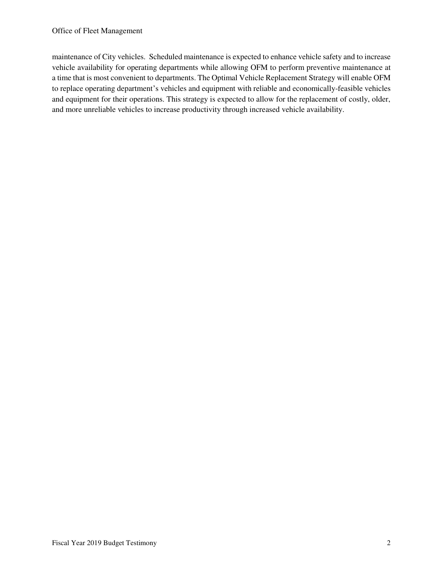maintenance of City vehicles. Scheduled maintenance is expected to enhance vehicle safety and to increase vehicle availability for operating departments while allowing OFM to perform preventive maintenance at a time that is most convenient to departments. The Optimal Vehicle Replacement Strategy will enable OFM to replace operating department's vehicles and equipment with reliable and economically-feasible vehicles and equipment for their operations. This strategy is expected to allow for the replacement of costly, older, and more unreliable vehicles to increase productivity through increased vehicle availability.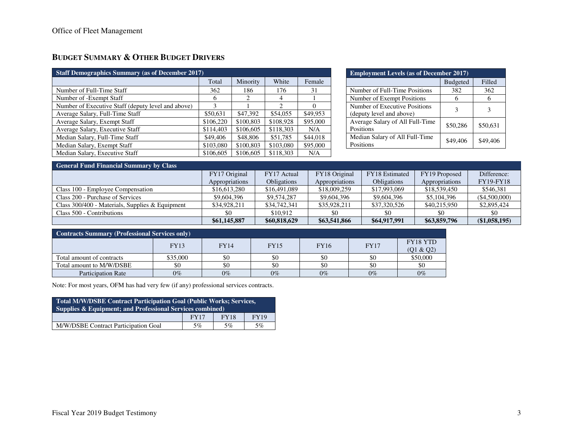## **BUDGET SUMMARY & OTHER BUDGET DRIVERS**

| <b>Staff Demographics Summary (as of December 2017)</b> |           |           |                             |          |  |  |  |  |
|---------------------------------------------------------|-----------|-----------|-----------------------------|----------|--|--|--|--|
|                                                         | Total     | Minority  | White                       | Female   |  |  |  |  |
| Number of Full-Time Staff                               | 362       | 186       | 176                         | 31       |  |  |  |  |
| Number of -Exempt Staff                                 | 6         | 2         | 4                           |          |  |  |  |  |
| Number of Executive Staff (deputy level and above)      | 3         |           | $\mathcal{D}_{\mathcal{A}}$ | $\Omega$ |  |  |  |  |
| Average Salary, Full-Time Staff                         | \$50,631  | \$47,392  | \$54,055                    | \$49,953 |  |  |  |  |
| Average Salary, Exempt Staff                            | \$106,220 | \$100,803 | \$108,928                   | \$95,000 |  |  |  |  |
| Average Salary, Executive Staff                         | \$114,403 | \$106,605 | \$118,303                   | N/A      |  |  |  |  |
| Median Salary, Full-Time Staff                          | \$49,406  | \$48,806  | \$51,785                    | \$44,018 |  |  |  |  |
| Median Salary, Exempt Staff                             | \$103,080 | \$100,803 | \$103,080                   | \$95,000 |  |  |  |  |
| Median Salary, Executive Staff                          | \$106,605 | \$106,605 | \$118,303                   | N/A      |  |  |  |  |

| <b>Employment Levels (as of December 2017)</b>            |                 |          |  |  |  |  |  |
|-----------------------------------------------------------|-----------------|----------|--|--|--|--|--|
|                                                           | <b>Budgeted</b> | Filled   |  |  |  |  |  |
| Number of Full-Time Positions                             | 382             | 362      |  |  |  |  |  |
| Number of Exempt Positions                                |                 | 6        |  |  |  |  |  |
| Number of Executive Positions<br>(deputy level and above) | ٩               | 3        |  |  |  |  |  |
| Average Salary of All Full-Time<br>Positions              | \$50,286        | \$50,631 |  |  |  |  |  |
| Median Salary of All Full-Time<br>Positions               | \$49,406        | \$49,406 |  |  |  |  |  |

| <b>General Fund Financial Summary by Class</b>    |                |                    |                |                    |                |                  |  |  |  |
|---------------------------------------------------|----------------|--------------------|----------------|--------------------|----------------|------------------|--|--|--|
|                                                   | FY17 Original  | FY17 Actual        | FY18 Original  | FY18 Estimated     | FY19 Proposed  | Difference:      |  |  |  |
|                                                   | Appropriations | <b>Obligations</b> | Appropriations | <b>Obligations</b> | Appropriations | <b>FY19-FY18</b> |  |  |  |
| Class 100 - Employee Compensation                 | \$16,613,280   | \$16,491,089       | \$18,009,259   | \$17,993,069       | \$18,539,450   | \$546.381        |  |  |  |
| Class 200 - Purchase of Services                  | \$9,604,396    | \$9,574,287        | \$9,604,396    | \$9,604,396        | \$5,104,396    | (\$4,500,000)    |  |  |  |
| Class $300/400$ - Materials, Supplies & Equipment | \$34,928,211   | \$34,742,341       | \$35,928,211   | \$37,320,526       | \$40,215,950   | \$2,895,424      |  |  |  |
| Class 500 - Contributions                         | \$0            | \$10.912           |                | \$0                | \$0            | -\$0             |  |  |  |
|                                                   | \$61,145,887   | \$60,818,629       | \$63,541,866   | \$64,917,991       | \$63,859,796   | (\$1,058,195)    |  |  |  |

| <b>Contracts Summary (Professional Services only)</b> |          |             |             |             |             |                       |  |  |
|-------------------------------------------------------|----------|-------------|-------------|-------------|-------------|-----------------------|--|--|
|                                                       | FY13     | <b>FY14</b> | <b>FY15</b> | <b>FY16</b> | <b>FY17</b> | FY18 YTD<br>(Q1 & Q2) |  |  |
| Total amount of contracts                             | \$35,000 | \$0         | \$0         | \$0         |             | \$50,000              |  |  |
| Total amount to M/W/DSBE                              |          | \$0         | \$0         | \$0         | \$0         | \$0                   |  |  |
| <b>Participation Rate</b>                             | $0\%$    | $0\%$       | $0\%$       | $0\%$       | $0\%$       | $0\%$                 |  |  |

Note: For most years, OFM has had very few (if any) professional services contracts.

| Total M/W/DSBE Contract Participation Goal (Public Works; Services,<br><b>Supplies &amp; Equipment; and Professional Services combined)</b> |  |  |  |  |  |  |  |
|---------------------------------------------------------------------------------------------------------------------------------------------|--|--|--|--|--|--|--|
| <b>FY19</b><br><b>FY17</b><br><b>FY18</b>                                                                                                   |  |  |  |  |  |  |  |
| M/W/DSBE Contract Participation Goal<br>5%<br>5%<br>5%                                                                                      |  |  |  |  |  |  |  |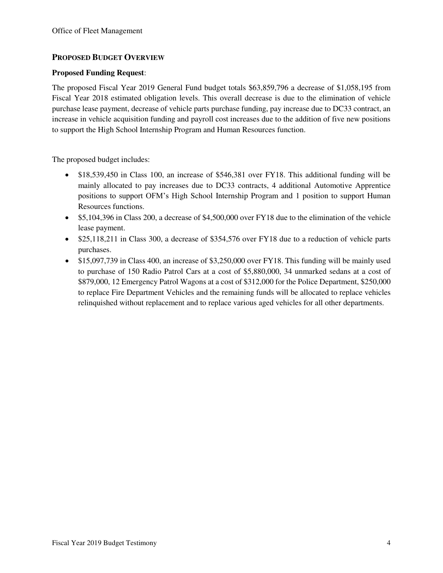## **PROPOSED BUDGET OVERVIEW**

### **Proposed Funding Request**:

The proposed Fiscal Year 2019 General Fund budget totals \$63,859,796 a decrease of \$1,058,195 from Fiscal Year 2018 estimated obligation levels. This overall decrease is due to the elimination of vehicle purchase lease payment, decrease of vehicle parts purchase funding, pay increase due to DC33 contract, an increase in vehicle acquisition funding and payroll cost increases due to the addition of five new positions to support the High School Internship Program and Human Resources function.

The proposed budget includes:

- \$18,539,450 in Class 100, an increase of \$546,381 over FY18. This additional funding will be mainly allocated to pay increases due to DC33 contracts, 4 additional Automotive Apprentice positions to support OFM's High School Internship Program and 1 position to support Human Resources functions.
- \$5,104,396 in Class 200, a decrease of \$4,500,000 over FY18 due to the elimination of the vehicle lease payment.
- \$25,118,211 in Class 300, a decrease of \$354,576 over FY18 due to a reduction of vehicle parts purchases.
- \$15,097,739 in Class 400, an increase of \$3,250,000 over FY18. This funding will be mainly used to purchase of 150 Radio Patrol Cars at a cost of \$5,880,000, 34 unmarked sedans at a cost of \$879,000, 12 Emergency Patrol Wagons at a cost of \$312,000 for the Police Department, \$250,000 to replace Fire Department Vehicles and the remaining funds will be allocated to replace vehicles relinquished without replacement and to replace various aged vehicles for all other departments.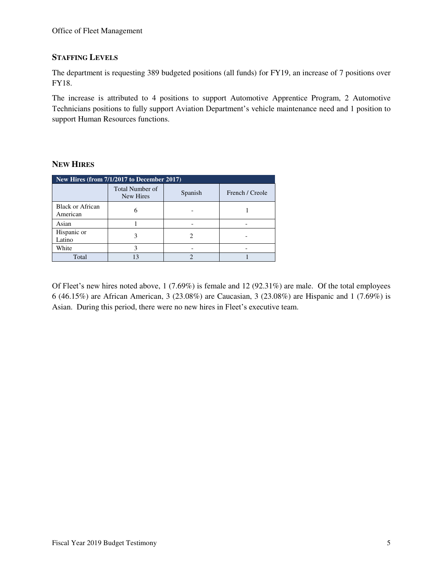## **STAFFING LEVELS**

The department is requesting 389 budgeted positions (all funds) for FY19, an increase of 7 positions over FY18.

The increase is attributed to 4 positions to support Automotive Apprentice Program, 2 Automotive Technicians positions to fully support Aviation Department's vehicle maintenance need and 1 position to support Human Resources functions.

### **NEW HIRES**

| New Hires (from 7/1/2017 to December 2017) |                                     |         |                 |  |  |  |  |  |
|--------------------------------------------|-------------------------------------|---------|-----------------|--|--|--|--|--|
|                                            | <b>Total Number of</b><br>New Hires | Spanish | French / Creole |  |  |  |  |  |
| <b>Black or African</b><br>American        |                                     |         |                 |  |  |  |  |  |
| Asian                                      |                                     |         |                 |  |  |  |  |  |
| Hispanic or<br>Latino                      |                                     |         |                 |  |  |  |  |  |
| White                                      |                                     |         |                 |  |  |  |  |  |
| Total                                      | 13                                  |         |                 |  |  |  |  |  |

Of Fleet's new hires noted above, 1 (7.69%) is female and 12 (92.31%) are male. Of the total employees 6 (46.15%) are African American, 3 (23.08%) are Caucasian, 3 (23.08%) are Hispanic and 1 (7.69%) is Asian. During this period, there were no new hires in Fleet's executive team.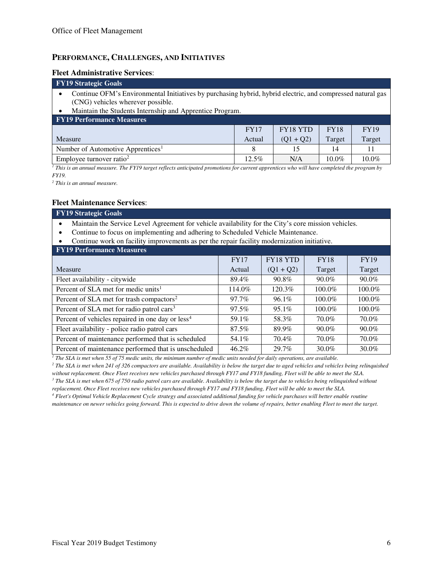### **PERFORMANCE, CHALLENGES, AND INITIATIVES**

#### **Fleet Administrative Services**:

#### **FY19 Strategic Goals**  • Continue OFM's Environmental Initiatives by purchasing hybrid, hybrid electric, and compressed natural gas (CNG) vehicles wherever possible. • Maintain the Students Internship and Apprentice Program. **FY19 Performance Measures**  Measure FY17 Actual FY18 YTD  $(Q1 + Q2)$ FY18 Target FY19 Target Number of Automotive Apprentices<sup>1</sup> 18 15 14 14 11 Employee turnover ratio<sup>2</sup> 12.5% N/A 10.0% 10.0%

<sup>1</sup> This is an annual measure. The FY19 target reflects anticipated promotions for current apprentices who will have completed the program by *FY19.* 

*2 This is an annual measure.* 

#### **Fleet Maintenance Services**:

#### **FY19 Strategic Goals**

- Maintain the Service Level Agreement for vehicle availability for the City's core mission vehicles.
- Continue to focus on implementing and adhering to Scheduled Vehicle Maintenance.
- Continue work on facility improvements as per the repair facility modernization initiative.

| <b>FY19 Performance Measures</b>                             |             |             |             |             |  |  |  |  |  |
|--------------------------------------------------------------|-------------|-------------|-------------|-------------|--|--|--|--|--|
|                                                              | <b>FY17</b> | FY18 YTD    | <b>FY18</b> | <b>FY19</b> |  |  |  |  |  |
| Measure                                                      | Actual      | $(Q1 + Q2)$ | Target      | Target      |  |  |  |  |  |
| Fleet availability - citywide                                | 89.4%       | 90.8%       | 90.0%       | $90.0\%$    |  |  |  |  |  |
| Percent of SLA met for medic units <sup>1</sup>              | 114.0%      | 120.3%      | 100.0%      | 100.0%      |  |  |  |  |  |
| Percent of SLA met for trash compactors <sup>2</sup>         | 97.7%       | $96.1\%$    | 100.0%      | 100.0%      |  |  |  |  |  |
| Percent of SLA met for radio patrol cars <sup>3</sup>        | 97.5%       | $95.1\%$    | 100.0%      | 100.0%      |  |  |  |  |  |
| Percent of vehicles repaired in one day or less <sup>4</sup> | 59.1%       | 58.3%       | 70.0%       | 70.0%       |  |  |  |  |  |
| Fleet availability - police radio patrol cars                | 87.5%       | 89.9%       | 90.0%       | $90.0\%$    |  |  |  |  |  |
| Percent of maintenance performed that is scheduled           | 54.1%       | $70.4\%$    | 70.0%       | 70.0%       |  |  |  |  |  |
| Percent of maintenance performed that is unscheduled         | $46.2\%$    | 29.7%       | 30.0%       | 30.0%       |  |  |  |  |  |

<sup>1</sup> The SLA is met when 55 of 75 medic units, the minimum number of medic units needed for daily operations, are available.

<sup>2</sup> The SLA is met when 241 of 326 compactors are available. Availability is below the target due to aged vehicles and vehicles being relinquished *without replacement. Once Fleet receives new vehicles purchased through FY17 and FY18 funding, Fleet will be able to meet the SLA.* 

<sup>3</sup> The SLA is met when 675 of 750 radio patrol cars are available. Availability is below the target due to vehicles being relinquished without *replacement. Once Fleet receives new vehicles purchased through FY17 and FY18 funding, Fleet will be able to meet the SLA.* 

*4 Fleet's Optimal Vehicle Replacement Cycle strategy and associated additional funding for vehicle purchases will better enable routine maintenance on newer vehicles going forward. This is expected to drive down the volume of repairs, better enabling Fleet to meet the target.*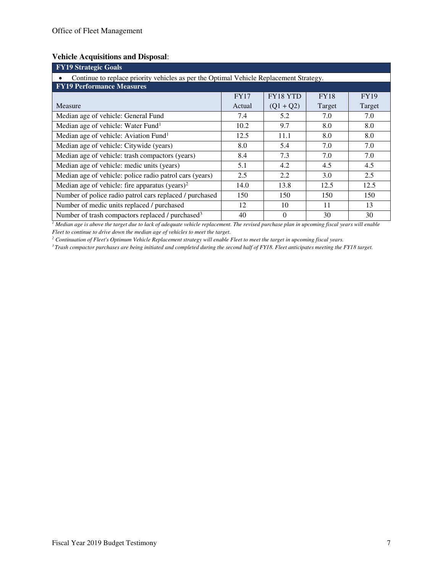## **Vehicle Acquisitions and Disposal**:

| <b>FY19 Strategic Goals</b>                                                            |             |             |             |             |  |  |  |  |
|----------------------------------------------------------------------------------------|-------------|-------------|-------------|-------------|--|--|--|--|
| Continue to replace priority vehicles as per the Optimal Vehicle Replacement Strategy. |             |             |             |             |  |  |  |  |
| <b>FY19 Performance Measures</b>                                                       |             |             |             |             |  |  |  |  |
|                                                                                        | <b>FY17</b> | FY18 YTD    | <b>FY18</b> | <b>FY19</b> |  |  |  |  |
| Measure                                                                                | Actual      | $(Q1 + Q2)$ | Target      | Target      |  |  |  |  |
| Median age of vehicle: General Fund                                                    | 7.4         | 5.2         | 7.0         | 7.0         |  |  |  |  |
| Median age of vehicle: Water Fund <sup>1</sup>                                         | 10.2        | 9.7         | 8.0         | 8.0         |  |  |  |  |
| Median age of vehicle: Aviation Fund <sup>1</sup>                                      | 12.5        | 11.1        | 8.0         | 8.0         |  |  |  |  |
| Median age of vehicle: Citywide (years)                                                | 8.0         | 5.4         | 7.0         | 7.0         |  |  |  |  |
| Median age of vehicle: trash compactors (years)                                        | 8.4         | 7.3         | 7.0         | 7.0         |  |  |  |  |
| Median age of vehicle: medic units (years)                                             | 5.1         | 4.2         | 4.5         | 4.5         |  |  |  |  |
| Median age of vehicle: police radio patrol cars (years)                                | 2.5         | 2.2         | 3.0         | 2.5         |  |  |  |  |
| Median age of vehicle: fire apparatus (years) <sup>2</sup>                             | 14.0        | 13.8        | 12.5        | 12.5        |  |  |  |  |
| Number of police radio patrol cars replaced / purchased<br>150<br>150<br>150           |             |             |             |             |  |  |  |  |
| Number of medic units replaced / purchased                                             | 12          | 10          | 11          | 13          |  |  |  |  |
| Number of trash compactors replaced / purchased <sup>3</sup>                           | 40          | $\Omega$    | 30          | 30          |  |  |  |  |

*1 Median age is above the target due to lack of adequate vehicle replacement. The revised purchase plan in upcoming fiscal years will enable Fleet to continue to drive down the median age of vehicles to meet the target.* 

*2 Continuation of Fleet's Optimum Vehicle Replacement strategy will enable Fleet to meet the target in upcoming fiscal years.* 

*3 Trash compactor purchases are being initiated and completed during the second half of FY18. Fleet anticipates meeting the FY18 target.*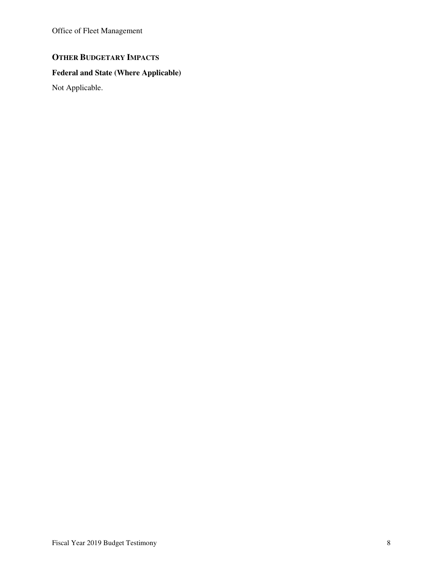Office of Fleet Management

## **OTHER BUDGETARY IMPACTS**

## **Federal and State (Where Applicable)**

Not Applicable.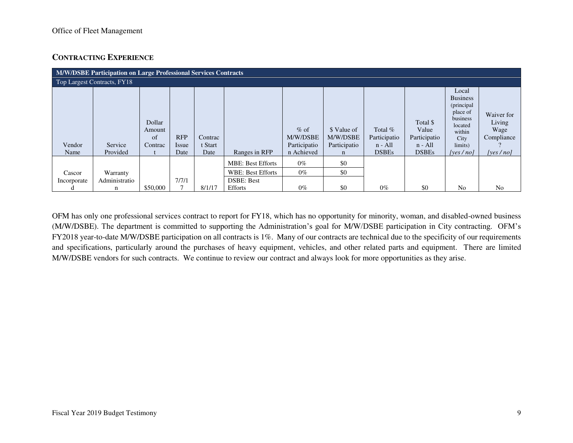## **CONTRACTING EXPERIENCE**

|                | M/W/DSBE Participation on Large Professional Services Contracts |                                   |                             |                            |                          |                                                  |                                              |                                                        |                                                                |                                                                                                                        |                                                            |
|----------------|-----------------------------------------------------------------|-----------------------------------|-----------------------------|----------------------------|--------------------------|--------------------------------------------------|----------------------------------------------|--------------------------------------------------------|----------------------------------------------------------------|------------------------------------------------------------------------------------------------------------------------|------------------------------------------------------------|
|                | Top Largest Contracts, FY18                                     |                                   |                             |                            |                          |                                                  |                                              |                                                        |                                                                |                                                                                                                        |                                                            |
| Vendor<br>Name | Service<br>Provided                                             | Dollar<br>Amount<br>of<br>Contrac | <b>RFP</b><br>Issue<br>Date | Contrac<br>t Start<br>Date | Ranges in RFP            | $%$ of<br>M/W/DSBE<br>Participatio<br>n Achieved | \$ Value of<br>M/W/DSBE<br>Participatio<br>n | Total $%$<br>Participatio<br>$n - All$<br><b>DSBEs</b> | Total \$<br>Value<br>Participatio<br>$n - All$<br><b>DSBEs</b> | Local<br><b>Business</b><br>(principal<br>place of<br>business<br>located<br>within<br>City<br>limits)<br>[yes $/$ no] | Waiver for<br>Living<br>Wage<br>Compliance<br>[yes $/no$ ] |
|                |                                                                 |                                   |                             |                            | <b>MBE: Best Efforts</b> | $0\%$                                            | \$0                                          |                                                        |                                                                |                                                                                                                        |                                                            |
| Cascor         | Warranty                                                        |                                   |                             |                            | <b>WBE: Best Efforts</b> | $0\%$                                            | \$0                                          |                                                        |                                                                |                                                                                                                        |                                                            |
| Incorporate    | Administratio                                                   |                                   | 7/7/1                       |                            | <b>DSBE: Best</b>        |                                                  |                                              |                                                        |                                                                |                                                                                                                        |                                                            |
| α              | n                                                               | \$50,000                          |                             | 8/1/17                     | Efforts                  | $0\%$                                            | \$0                                          | $0\%$                                                  | \$0                                                            | N <sub>0</sub>                                                                                                         | N <sub>0</sub>                                             |

OFM has only one professional services contract to report for FY18, which has no opportunity for minority, woman, and disabled-owned business (M/W/DSBE). The department is committed to supporting the Administration's goal for M/W/DSBE participation in City contracting. OFM's FY2018 year-to-date M/W/DSBE participation on all contracts is 1%. Many of our contracts are technical due to the specificity of our requirements and specifications, particularly around the purchases of heavy equipment, vehicles, and other related parts and equipment. There are limited M/W/DSBE vendors for such contracts. We continue to review our contract and always look for more opportunities as they arise.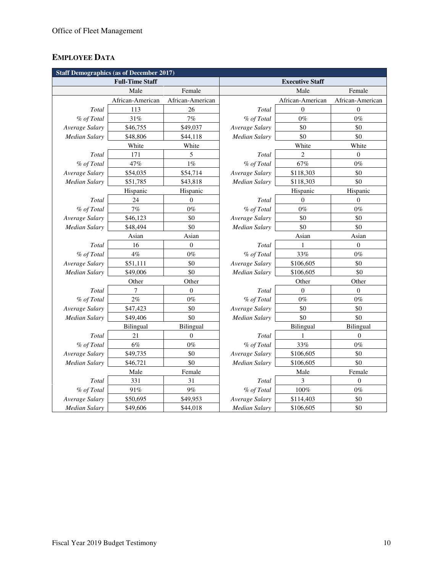# **EMPLOYEE DATA**

| <b>Staff Demographics (as of December 2017)</b> |                        |                  |                      |                        |                  |  |  |  |
|-------------------------------------------------|------------------------|------------------|----------------------|------------------------|------------------|--|--|--|
|                                                 | <b>Full-Time Staff</b> |                  |                      | <b>Executive Staff</b> |                  |  |  |  |
|                                                 | Male                   | Female           |                      | Male                   | Female           |  |  |  |
|                                                 | African-American       | African-American |                      | African-American       | African-American |  |  |  |
| Total                                           | 113                    | 26               | Total                | $\Omega$               | $\Omega$         |  |  |  |
| % of Total                                      | 31%                    | 7%               | % of Total           | $0\%$                  | $0\%$            |  |  |  |
| Average Salary                                  | \$46,755               | \$49,037         | Average Salary       | \$0                    | \$0              |  |  |  |
| Median Salary                                   | \$48,806               | \$44,118         | <b>Median Salary</b> | \$0                    | \$0              |  |  |  |
|                                                 | White                  | White            |                      | White                  | White            |  |  |  |
| Total                                           | 171                    | 5                | Total                | $\overline{c}$         | $\boldsymbol{0}$ |  |  |  |
| % of Total                                      | 47%                    | $1\%$            | % of Total           | 67%                    | $0\%$            |  |  |  |
| Average Salary                                  | \$54,035               | \$54,714         | Average Salary       | \$118,303              | \$0              |  |  |  |
| Median Salary                                   | \$51,785               | \$43,818         | Median Salary        | \$118,303              | \$0              |  |  |  |
|                                                 | Hispanic               | Hispanic         |                      | Hispanic               | Hispanic         |  |  |  |
| Total                                           | 24                     | $\boldsymbol{0}$ | Total                | $\mathbf{0}$           | $\boldsymbol{0}$ |  |  |  |
| % of Total                                      | $7\%$                  | $0\%$            | % of Total           | $0\%$                  | $0\%$            |  |  |  |
| Average Salary                                  | \$46,123               | \$0              | Average Salary       | \$0                    | \$0              |  |  |  |
| <b>Median Salary</b>                            | \$48,494               | \$0              | Median Salary        | \$0                    | \$0              |  |  |  |
|                                                 | Asian                  | Asian            |                      | Asian                  | Asian            |  |  |  |
| Total                                           | 16                     | $\boldsymbol{0}$ | Total                | 1                      | $\boldsymbol{0}$ |  |  |  |
| % of Total                                      | $4\%$                  | $0\%$            | % of Total           | 33%                    | $0\%$            |  |  |  |
| Average Salary                                  | \$51,111               | \$0              | Average Salary       | \$106,605              | \$0              |  |  |  |
| <b>Median Salary</b>                            | \$49,006               | \$0              | Median Salary        | \$106,605              | \$0              |  |  |  |
|                                                 | Other                  | Other            |                      | Other                  | Other            |  |  |  |
| Total                                           | 7                      | $\Omega$         | Total                | $\Omega$               | $\Omega$         |  |  |  |
| % of Total                                      | 2%                     | $0\%$            | % of Total           | $0\%$                  | $0\%$            |  |  |  |
| Average Salary                                  | \$47,423               | \$0              | Average Salary       | \$0                    | \$0              |  |  |  |
| Median Salary                                   | \$49,406               | \$0              | Median Salary        | \$0                    | \$0              |  |  |  |
|                                                 | <b>Bilingual</b>       | Bilingual        |                      | Bilingual              | Bilingual        |  |  |  |
| Total                                           | 21                     | $\overline{0}$   | Total                | 1                      | $\theta$         |  |  |  |
| % of Total                                      | $6\%$                  | $0\%$            | % of Total           | 33%                    | $0\%$            |  |  |  |
| Average Salary                                  | \$49,735               | \$0              | Average Salary       | \$106,605              | \$0              |  |  |  |
| Median Salary                                   | \$46,721               | \$0              | Median Salary        | \$106,605              | \$0              |  |  |  |
|                                                 | Male                   | Female           |                      | Male                   | Female           |  |  |  |
| Total                                           | 331                    | 31               | Total                | 3                      | $\Omega$         |  |  |  |
| % of Total                                      | 91%                    | 9%               | % of Total           | $100\%$                | $0\%$            |  |  |  |
| Average Salary                                  | \$50,695               | \$49,953         | Average Salary       | \$114,403              | \$0              |  |  |  |
| <b>Median Salary</b>                            | \$49,606               | \$44,018         | <b>Median Salary</b> | \$106,605              | \$0              |  |  |  |